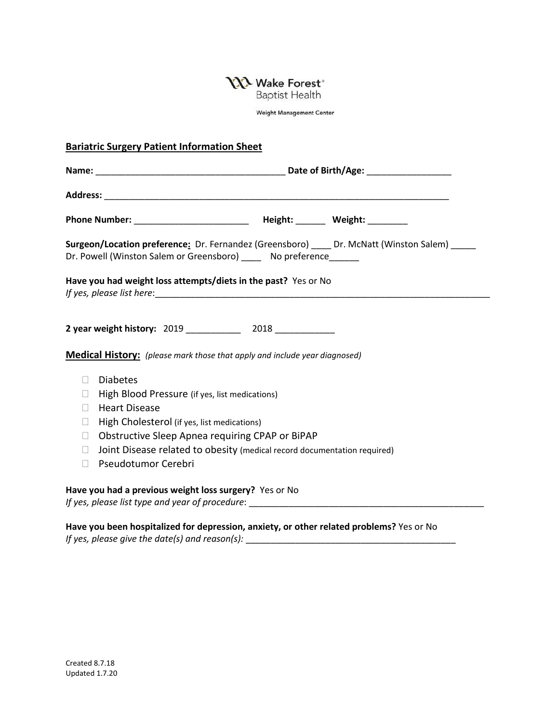**NA** Wake Forest<sup>®</sup>

**Baptist Health** 

Weight Management Center

## **Bariatric Surgery Patient Information Sheet**

|        | Phone Number: ___________________________ Height: _______ Weight: _________                                                                                         |
|--------|---------------------------------------------------------------------------------------------------------------------------------------------------------------------|
|        | Surgeon/Location preference: Dr. Fernandez (Greensboro) ____ Dr. McNatt (Winston Salem) _____<br>Dr. Powell (Winston Salem or Greensboro) _____ No preference______ |
|        | Have you had weight loss attempts/diets in the past? Yes or No                                                                                                      |
|        | 2 year weight history: 2019 _____________ 2018 ___________                                                                                                          |
|        | <b>Medical History:</b> (please mark those that apply and include year diagnosed)                                                                                   |
| $\Box$ | <b>Diabetes</b>                                                                                                                                                     |
| $\Box$ | High Blood Pressure (if yes, list medications)                                                                                                                      |
| П      | <b>Heart Disease</b>                                                                                                                                                |
| $\Box$ | High Cholesterol (if yes, list medications)                                                                                                                         |
| $\Box$ | Obstructive Sleep Apnea requiring CPAP or BiPAP                                                                                                                     |
| $\Box$ | Joint Disease related to obesity (medical record documentation required)                                                                                            |
| П      | Pseudotumor Cerebri                                                                                                                                                 |
|        | Have you had a previous weight loss surgery? Yes or No                                                                                                              |

*If yes, please list type and year of procedure*: \_\_\_\_\_\_\_\_\_\_\_\_\_\_\_\_\_\_\_\_\_\_\_\_\_\_\_\_\_\_\_\_\_\_\_\_\_\_\_\_\_\_\_\_\_\_\_

**Have you been hospitalized for depression, anxiety, or other related problems?** Yes or No *If yes, please give the date(s) and reason(s):* \_\_\_\_\_\_\_\_\_\_\_\_\_\_\_\_\_\_\_\_\_\_\_\_\_\_\_\_\_\_\_\_\_\_\_\_\_\_\_\_\_\_